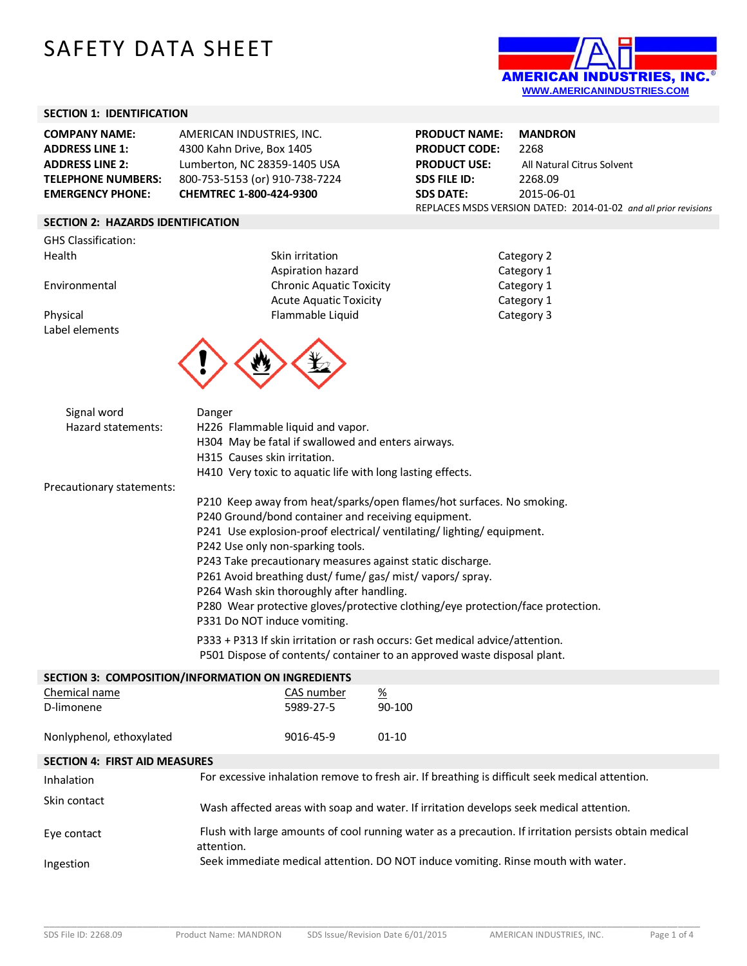# SAFETY DATA SHEET



#### **SECTION 1: IDENTIFICATION**

| <b>COMPANY NAME:</b>      | AMERICAN INDUSTRIES, INC.      |
|---------------------------|--------------------------------|
| <b>ADDRESS LINE 1:</b>    | 4300 Kahn Drive, Box 1405      |
| <b>ADDRESS LINE 2:</b>    | Lumberton, NC 28359-1405 USA   |
| <b>TELEPHONE NUMBERS:</b> | 800-753-5153 (or) 910-738-7224 |
| <b>EMERGENCY PHONE:</b>   | CHEMTREC 1-800-424-9300        |

### **SECTION 2: HAZARDS IDENTIFICATION**

GHS Classification: Health Skin irritation

Label elements

Aspiration hazard Environmental Chronic Aquatic Toxicity Acute Aquatic Toxicity Physical Flammable Liquid



**PRODUCT NAME: MANDRON PRODUCT CODE:** 2268 **PRODUCT USE:** All Natural Citrus Solvent **SDS FILE ID:** 2268.09 **SDS DATE:** 2015-06-01 REPLACES MSDS VERSION DATED: 2014-01-02 *and all prior revisions*

| Category 2 |  |
|------------|--|
| Category 1 |  |
| Category 1 |  |
| Category 1 |  |
| Category 3 |  |

| Signal word<br>Hazard statements:                 | Danger<br>H315 Causes skin irritation. | H226 Flammable liquid and vapor.<br>H304 May be fatal if swallowed and enters airways. | H410 Very toxic to aquatic life with long lasting effects.                                                                                                                                                                                                                                                                                                                                                                                                                                                                                                                     |  |
|---------------------------------------------------|----------------------------------------|----------------------------------------------------------------------------------------|--------------------------------------------------------------------------------------------------------------------------------------------------------------------------------------------------------------------------------------------------------------------------------------------------------------------------------------------------------------------------------------------------------------------------------------------------------------------------------------------------------------------------------------------------------------------------------|--|
| Precautionary statements:                         |                                        |                                                                                        |                                                                                                                                                                                                                                                                                                                                                                                                                                                                                                                                                                                |  |
|                                                   | P331 Do NOT induce vomiting.           | P242 Use only non-sparking tools.<br>P264 Wash skin thoroughly after handling.         | P210 Keep away from heat/sparks/open flames/hot surfaces. No smoking.<br>P240 Ground/bond container and receiving equipment.<br>P241 Use explosion-proof electrical/ventilating/lighting/equipment.<br>P243 Take precautionary measures against static discharge.<br>P261 Avoid breathing dust/ fume/ gas/ mist/ vapors/ spray.<br>P280 Wear protective gloves/protective clothing/eye protection/face protection.<br>P333 + P313 If skin irritation or rash occurs: Get medical advice/attention.<br>P501 Dispose of contents/ container to an approved waste disposal plant. |  |
| SECTION 3: COMPOSITION/INFORMATION ON INGREDIENTS |                                        |                                                                                        |                                                                                                                                                                                                                                                                                                                                                                                                                                                                                                                                                                                |  |
| Chemical name<br>D-limonene                       |                                        | CAS number<br>5989-27-5                                                                | $\frac{\%}{\%}$<br>90-100                                                                                                                                                                                                                                                                                                                                                                                                                                                                                                                                                      |  |
| Nonlyphenol, ethoxylated                          |                                        | 9016-45-9                                                                              | $01 - 10$                                                                                                                                                                                                                                                                                                                                                                                                                                                                                                                                                                      |  |

### **SECTION 4: FIRST AID MEASURES**

| Inhalation   | For excessive inhalation remove to fresh air. If breathing is difficult seek medical attention.                     |
|--------------|---------------------------------------------------------------------------------------------------------------------|
| Skin contact | Wash affected areas with soap and water. If irritation develops seek medical attention.                             |
| Eve contact  | Flush with large amounts of cool running water as a precaution. If irritation persists obtain medical<br>attention. |
| Ingestion    | Seek immediate medical attention. DO NOT induce vomiting. Rinse mouth with water.                                   |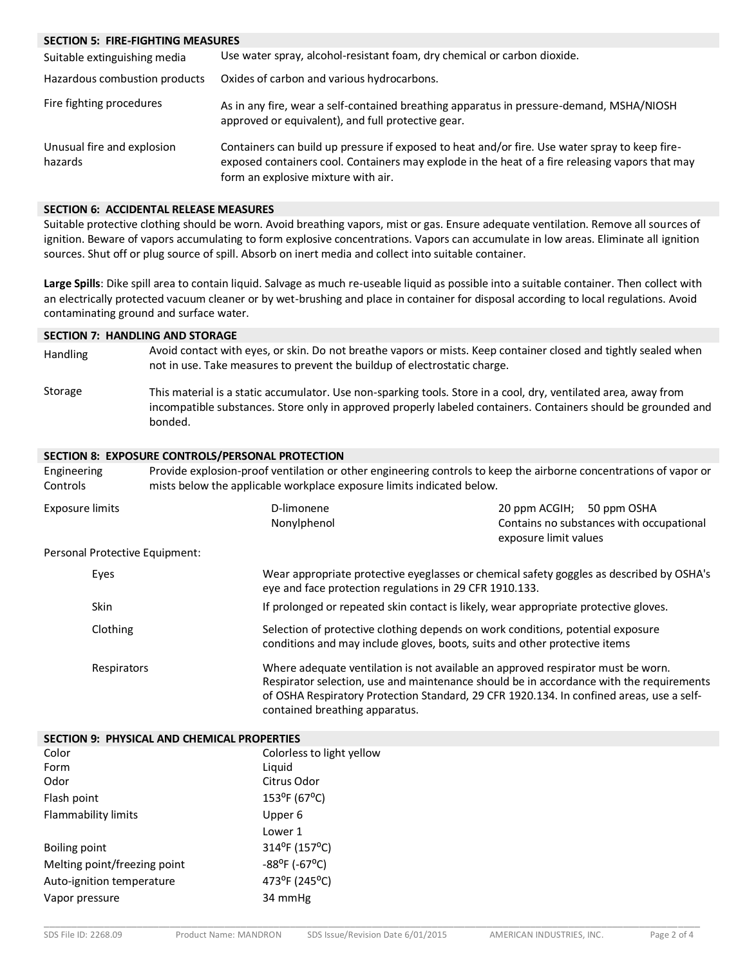#### **SECTION 5: FIRE-FIGHTING MEASURES**

| Suitable extinguishing media          | Use water spray, alcohol-resistant foam, dry chemical or carbon dioxide.                                                                                                                                                                 |
|---------------------------------------|------------------------------------------------------------------------------------------------------------------------------------------------------------------------------------------------------------------------------------------|
| Hazardous combustion products         | Oxides of carbon and various hydrocarbons.                                                                                                                                                                                               |
| Fire fighting procedures              | As in any fire, wear a self-contained breathing apparatus in pressure-demand, MSHA/NIOSH<br>approved or equivalent), and full protective gear.                                                                                           |
| Unusual fire and explosion<br>hazards | Containers can build up pressure if exposed to heat and/or fire. Use water spray to keep fire-<br>exposed containers cool. Containers may explode in the heat of a fire releasing vapors that may<br>form an explosive mixture with air. |

#### **SECTION 6: ACCIDENTAL RELEASE MEASURES**

Suitable protective clothing should be worn. Avoid breathing vapors, mist or gas. Ensure adequate ventilation. Remove all sources of ignition. Beware of vapors accumulating to form explosive concentrations. Vapors can accumulate in low areas. Eliminate all ignition sources. Shut off or plug source of spill. Absorb on inert media and collect into suitable container.

**Large Spills**: Dike spill area to contain liquid. Salvage as much re-useable liquid as possible into a suitable container. Then collect with an electrically protected vacuum cleaner or by wet-brushing and place in container for disposal according to local regulations. Avoid contaminating ground and surface water.

#### **SECTION 7: HANDLING AND STORAGE**

- Handling Avoid contact with eyes, or skin. Do not breathe vapors or mists. Keep container closed and tightly sealed when not in use. Take measures to prevent the buildup of electrostatic charge.
- Storage This material is a static accumulator. Use non-sparking tools. Store in a cool, dry, ventilated area, away from incompatible substances. Store only in approved properly labeled containers. Containers should be grounded and bonded.

#### **SECTION 8: EXPOSURE CONTROLS/PERSONAL PROTECTION**

| Engineering<br>Controls        | mists below the applicable workplace exposure limits indicated below. | Provide explosion-proof ventilation or other engineering controls to keep the airborne concentrations of vapor or                                                                                                                                                       |  |  |
|--------------------------------|-----------------------------------------------------------------------|-------------------------------------------------------------------------------------------------------------------------------------------------------------------------------------------------------------------------------------------------------------------------|--|--|
| <b>Exposure limits</b>         | D-limonene<br>Nonylphenol                                             | 20 ppm ACGIH; 50 ppm OSHA<br>Contains no substances with occupational<br>exposure limit values                                                                                                                                                                          |  |  |
| Personal Protective Equipment: |                                                                       |                                                                                                                                                                                                                                                                         |  |  |
| Eyes                           |                                                                       | Wear appropriate protective eyeglasses or chemical safety goggles as described by OSHA's<br>eye and face protection regulations in 29 CFR 1910.133.                                                                                                                     |  |  |
| <b>Skin</b>                    |                                                                       | If prolonged or repeated skin contact is likely, wear appropriate protective gloves.                                                                                                                                                                                    |  |  |
| Clothing                       |                                                                       | Selection of protective clothing depends on work conditions, potential exposure<br>conditions and may include gloves, boots, suits and other protective items                                                                                                           |  |  |
| Respirators                    | contained breathing apparatus.                                        | Where adequate ventilation is not available an approved respirator must be worn.<br>Respirator selection, use and maintenance should be in accordance with the requirements<br>of OSHA Respiratory Protection Standard, 29 CFR 1920.134. In confined areas, use a self- |  |  |

| SECTION 9: PHYSICAL AND CHEMICAL PROPERTIES |                             |
|---------------------------------------------|-----------------------------|
| Color                                       | Colorless to light yellow   |
| Form                                        | Liguid                      |
| Odor                                        | Citrus Odor                 |
| Flash point                                 | $153^{\circ}F(67^{\circ}C)$ |
| Flammability limits                         | Upper 6                     |
|                                             | Lower 1                     |
| Boiling point                               | 314°F (157°C)               |
| Melting point/freezing point                | $-88^{\circ}$ F (-67°C)     |
| Auto-ignition temperature                   | 473°F (245°C)               |
| Vapor pressure                              | 34 mmHg                     |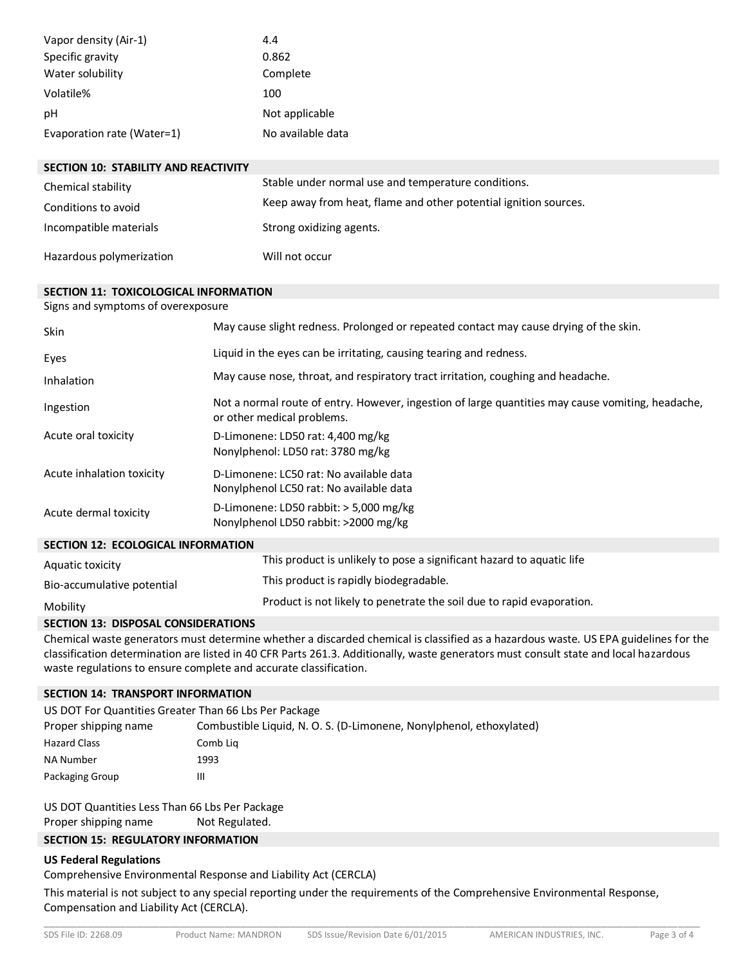| Vapor density (Air-1)      | 4.4               |
|----------------------------|-------------------|
| Specific gravity           | 0.862             |
| Water solubility           | Complete          |
| Volatile%                  | 100               |
| рH                         | Not applicable    |
| Evaporation rate (Water=1) | No available data |

| <b>SECTION 10: STABILITY AND REACTIVITY</b> |                                                                  |
|---------------------------------------------|------------------------------------------------------------------|
| Chemical stability                          | Stable under normal use and temperature conditions.              |
| Conditions to avoid                         | Keep away from heat, flame and other potential ignition sources. |
| Incompatible materials                      | Strong oxidizing agents.                                         |
| Hazardous polymerization                    | Will not occur                                                   |

#### **SECTION 11: TOXICOLOGICAL INFORMATION**

Signs and symptoms of overexposure

| Skin                                      | May cause slight redness. Prolonged or repeated contact may cause drying of the skin.                                           |  |
|-------------------------------------------|---------------------------------------------------------------------------------------------------------------------------------|--|
| Eyes                                      | Liquid in the eyes can be irritating, causing tearing and redness.                                                              |  |
| Inhalation                                | May cause nose, throat, and respiratory tract irritation, coughing and headache.                                                |  |
| Ingestion                                 | Not a normal route of entry. However, ingestion of large quantities may cause vomiting, headache,<br>or other medical problems. |  |
| Acute oral toxicity                       | D-Limonene: LD50 rat: 4,400 mg/kg<br>Nonylphenol: LD50 rat: 3780 mg/kg                                                          |  |
| Acute inhalation toxicity                 | D-Limonene: LC50 rat: No available data<br>Nonylphenol LC50 rat: No available data                                              |  |
| Acute dermal toxicity                     | D-Limonene: LD50 rabbit: $>$ 5,000 mg/kg<br>Nonylphenol LD50 rabbit: >2000 mg/kg                                                |  |
| <b>SECTION 12: ECOLOGICAL INFORMATION</b> |                                                                                                                                 |  |
| Aquatic toxicity                          | This product is unlikely to pose a significant hazard to aquatic life                                                           |  |
| Bio-accumulative potential                | This product is rapidly biodegradable.                                                                                          |  |
| Mobility                                  | Product is not likely to penetrate the soil due to rapid evaporation.                                                           |  |

#### **SECTION 13: DISPOSAL CONSIDERATIONS**

Chemical waste generators must determine whether a discarded chemical is classified as a hazardous waste. US EPA guidelines for the classification determination are listed in 40 CFR Parts 261.3. Additionally, waste generators must consult state and local hazardous waste regulations to ensure complete and accurate classification.

#### **SECTION 14: TRANSPORT INFORMATION**

| US DOT For Quantities Greater Than 66 Lbs Per Package |                                                                     |
|-------------------------------------------------------|---------------------------------------------------------------------|
| Proper shipping name                                  | Combustible Liquid, N. O. S. (D-Limonene, Nonylphenol, ethoxylated) |
| <b>Hazard Class</b>                                   | Comb Lig                                                            |
| NA Number                                             | 1993                                                                |
| Packaging Group                                       | Ш                                                                   |

US DOT Quantities Less Than 66 Lbs Per Package Proper shipping name Not Regulated.

## **SECTION 15: REGULATORY INFORMATION**

#### **US Federal Regulations**

Comprehensive Environmental Response and Liability Act (CERCLA)

This material is not subject to any special reporting under the requirements of the Comprehensive Environmental Response, Compensation and Liability Act (CERCLA).